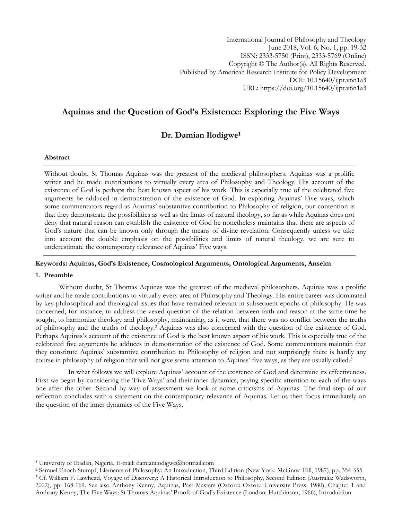International Journal of Philosophy and Theology June 2018, Vol. 6, No. 1, pp. 19-32 ISSN: 2333-5750 (Print), 2333-5769 (Online) Copyright © The Author(s). All Rights Reserved. Published by American Research Institute for Policy Development DOI: 10.15640/ijpt.v6n1a3 URL: https://doi.org/10.15640/ijpt.v6n1a3

# **Aquinas and the Question of God's Existence: Exploring the Five Ways**

## **Dr. Damian Ilodigwe<sup>1</sup>**

## **Abstract**

Without doubt, St Thomas Aquinas was the greatest of the medieval philosophers. Aquinas was a prolific writer and he made contributions to virtually every area of Philosophy and Theology. His account of the existence of God is perhaps the best known aspect of his work. This is especially true of the celebrated five arguments he adduced in demonstration of the existence of God. In exploring Aquinas" Five ways, which some commentators regard as Aquinas' substantive contribution to Philosophy of religion, our contention is that they demonstrate the possibilities as well as the limits of natural theology, so far as while Aquinas does not deny that natural reason can establish the existence of God he nonetheless maintains that there are aspects of God"s nature that can be known only through the means of divine revelation. Consequently unless we take into account the double emphasis on the possibilities and limits of natural theology, we are sure to underestimate the contemporary relevance of Aquinas' Five ways.

## **Keywords: Aquinas, God's Existence, Cosmological Arguments, Ontological Arguments, Anselm**

### **1. Preamble**

 $\overline{\phantom{a}}$ 

Without doubt, St Thomas Aquinas was the greatest of the medieval philosophers. Aquinas was a prolific writer and he made contributions to virtually every area of Philosophy and Theology. His entire career was dominated by key philosophical and theological issues that have remained relevant in subsequent epochs of philosophy. He was concerned, for instance, to address the vexed question of the relation between faith and reason at the same time he sought, to harmonize theology and philosophy, maintaining, as it were, that there was no conflict between the truths of philosophy and the truths of theology.<sup>2</sup> Aquinas was also concerned with the question of the existence of God. Perhaps Aquinas's account of the existence of God is the best known aspect of his work. This is especially true of the celebrated five arguments he adduces in demonstration of the existence of God. Some commentators maintain that they constitute Aquinas" substantive contribution to Philosophy of religion and not surprisingly there is hardly any course in philosophy of religion that will not give some attention to Aquinas' five ways, as they are usually called.<sup>3</sup>

In what follows we will explore Aquinas' account of the existence of God and determine its effectiveness. First we begin by considering the "Five Ways" and their inner dynamics, paying specific attention to each of the ways one after the other. Second by way of assessment we look at some criticisms of Aquinas. The final step of our reflection concludes with a statement on the contemporary relevance of Aquinas. Let us then focus immediately on the question of the inner dynamics of the Five Ways.

<sup>1</sup> University of Ibadan, Nigeria, E-mail: damianilodigwe@hotmail.com

<sup>2</sup> Samuel Enoch Stumpf, Elements of Philosophy: An Introduction, Third Edition (New York: McGraw-Hill, 1987), pp. 354-355 <sup>3</sup> Cf. William F. Lawhead, Voyage of Discovery: A Historical Introduction to Philosophy, Second Edition (Australia: Wadsworth, 2002), pp. 168-169. See also Anthony Kenny, Aquinas, Past Masters (Oxford: Oxford University Press, 1980), Chapter 1 and Anthony Kenny, The Five Ways: St Thomas Aquinas" Proofs of God"s Existence (London: Hutchinson, 1966), Introduction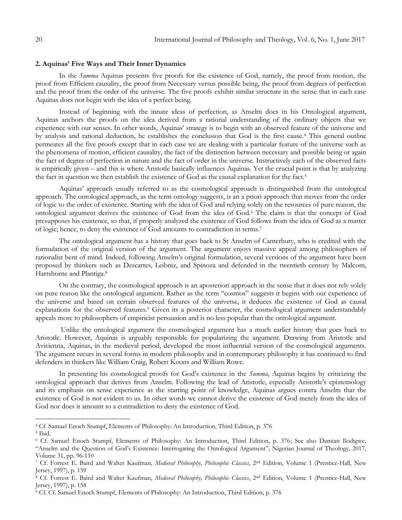#### **2. Aquinas' Five Ways and Their Inner Dynamics**

In the *Summa* Aquinas presents five proofs for the existence of God, namely, the proof from motion, the proof from Efficient causality, the proof from Necessary versus possible being, the proof from degrees of perfection and the proof from the order of the universe. The five proofs exhibit similar structure in the sense that in each case Aquinas does not begin with the idea of a perfect being.

Instead of beginning with the innate ideas of perfection, as Anselm does in his Ontological argument, Aquinas anchors the proofs on the idea derived from a rational understanding of the ordinary objects that we experience with our senses. In other words, Aquinas" strategy is to begin with an observed feature of the universe and by analysis and rational deduction, he establishes the conclusion that God is the first cause.<sup>4</sup> This general outline permeates all the five proofs except that in each case we are dealing with a particular feature of the universe such as the phenomena of motion, efficient causality, the fact of the distinction between necessary and possible being or again the fact of degree of perfection in nature and the fact of order in the universe. Instructively each of the observed facts is empirically given – and this is where Aristotle basically influences Aquinas. Yet the crucial point is that by analyzing the fact in question we then establish the existence of God as the causal explanation for the fact.<sup>5</sup>

Aquinas" approach usually referred to as the cosmological approach is distinguished from the ontological approach. The ontological approach, as the term ontology suggests, is an a priori approach that moves from the order of logic to the order of existence. Starting with the idea of God and relying solely on the resources of pure reason, the ontological argument derives the existence of God from the idea of God.<sup>6</sup> The claim is that the concept of God presupposes his existence, so that, if properly analyzed the existence of God follows from the idea of God as a matter of logic; hence, to deny the existence of God amounts to contradiction in terms.<sup>7</sup>

The ontological argument has a history that goes back to St Anselm of Canterbury, who is credited with the formulation of the original version of the argument. The argument enjoys massive appeal among philosophers of rationalist bent of mind. Indeed, following Anselm"s original formulation, several versions of the argument have been proposed by thinkers such as Descartes, Leibniz, and Spinoza and defended in the twentieth century by Malcom, Hartshorne and Plantiga.<sup>8</sup>

On the contrary, the cosmological approach is an aposteriori approach in the sense that it does not rely solely on pure reason like the ontological argument. Rather as the term "cosmos" suggests it begins with our experience of the universe and based on certain observed features of the universe, it deduces the existence of God as causal explanations for the observed features.<sup>9</sup> Given its a posterior character, the cosmological argument understandably appeals more to philosophers of empiricist persuasion and is no less popular than the ontological argument.

Unlike the ontological argument the cosmological argument has a much earlier history that goes back to Aristotle. However, Aquinas is arguably responsible for popularizing the argument. Drawing from Aristotle and Avicienna, Aquinas, in the medieval period, developed the most influential version of the cosmological arguments. The argument recurs in several forms in modern philosophy and in contemporary philosophy it has continued to find defenders in thinkers like William Craig, Robert Koons and William Rowe.

In presenting his cosmological proofs for God's existence in the *Summa*, Aquinas begins by criticizing the ontological approach that derives from Anselm. Following the lead of Aristotle, especially Aristotle"s epistemology and its emphasis on sense experience as the starting point of knowledge, Aquinas argues contra Anselm that the existence of God is not evident to us. In other words we cannot derive the existence of God merely from the idea of God nor does it amount to a contradiction to deny the existence of God.

<sup>4</sup> Cf. Samuel Enoch Stumpf, Elements of Philosophy: An Introduction, Third Edition, p. 376

<sup>5</sup> Ibid.

<sup>6</sup> Cf. Samuel Enoch Stumpf, Elements of Philosophy: An Introduction, Third Edition, p. 376; See also Damian Ilodigwe, "Anselm and the Question of God"s Existence: Interrogating the Ontological Argument", Nigerian Journal of Theology, 2017, Volume 31, pp. 96-110

<sup>7</sup> Cf. Forrest E. Baird and Walter Kaufman, *Medieval Philosophy, Philosophic Classics*, 2nd Edition, Volume 1 (Prentice-Hall, New Jersey, 1997), p. 159

<sup>8</sup> Cf. Forrest E. Baird and Walter Kaufman, *Medieval Philosophy, Philosophic Classics*, 2nd Edition, Volume 1 (Prentice-Hall, New Jersey, 1997), p. 158

<sup>9</sup> Cf. Cf. Samuel Enoch Stumpf, Elements of Philosophy: An Introduction, Third Edition, p. 376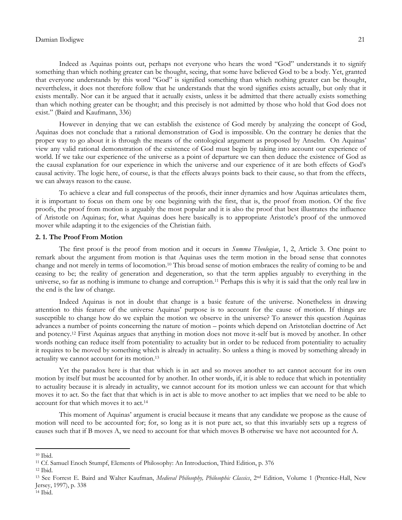Indeed as Aquinas points out, perhaps not everyone who hears the word "God" understands it to signify something than which nothing greater can be thought, seeing, that some have believed God to be a body. Yet, granted that everyone understands by this word "God" is signified something than which nothing greater can be thought, nevertheless, it does not therefore follow that he understands that the word signifies exists actually, but only that it exists mentally. Nor can it be argued that it actually exists, unless it be admitted that there actually exists something than which nothing greater can be thought; and this precisely is not admitted by those who hold that God does not exist." (Baird and Kaufmann, 336)

However in denying that we can establish the existence of God merely by analyzing the concept of God, Aquinas does not conclude that a rational demonstration of God is impossible. On the contrary he denies that the proper way to go about it is through the means of the ontological argument as proposed by Anselm. On Aquinas" view any valid rational demonstration of the existence of God must begin by taking into account our experience of world. If we take our experience of the universe as a point of departure we can then deduce the existence of God as the causal explanation for our experience in which the universe and our experience of it are both effects of God"s causal activity. The logic here, of course, is that the effects always points back to their cause, so that from the effects, we can always reason to the cause.

To achieve a clear and full conspectus of the proofs, their inner dynamics and how Aquinas articulates them, it is important to focus on them one by one beginning with the first, that is, the proof from motion. Of the five proofs, the proof from motion is arguably the most popular and it is also the proof that best illustrates the influence of Aristotle on Aquinas; for, what Aquinas does here basically is to appropriate Aristotle"s proof of the unmoved mover while adapting it to the exigencies of the Christian faith.

#### **2. 1. The Proof From Motion**

The first proof is the proof from motion and it occurs in *Summa Theologiae*, 1, 2, Article 3. One point to remark about the argument from motion is that Aquinas uses the term motion in the broad sense that connotes change and not merely in terms of locomotion.<sup>10</sup> This broad sense of motion embraces the reality of coming to be and ceasing to be; the reality of generation and degeneration, so that the term applies arguably to everything in the universe, so far as nothing is immune to change and corruption.<sup>11</sup> Perhaps this is why it is said that the only real law in the end is the law of change.

Indeed Aquinas is not in doubt that change is a basic feature of the universe. Nonetheless in drawing attention to this feature of the universe Aquinas" purpose is to account for the cause of motion. If things are susceptible to change how do we explain the motion we observe in the universe? To answer this question Aquinas advances a number of points concerning the nature of motion – points which depend on Aristotelian doctrine of Act and potency.<sup>12</sup> First Aquinas argues that anything in motion does not move it-self but is moved by another. In other words nothing can reduce itself from potentiality to actuality but in order to be reduced from potentiality to actuality it requires to be moved by something which is already in actuality. So unless a thing is moved by something already in actuality we cannot account for its motion.<sup>13</sup>

Yet the paradox here is that that which is in act and so moves another to act cannot account for its own motion by itself but must be accounted for by another. In other words, if, it is able to reduce that which in potentiality to actuality because it is already in actuality, we cannot account for its motion unless we can account for that which moves it to act. So the fact that that which is in act is able to move another to act implies that we need to be able to account for that which moves it to act.<sup>14</sup>

This moment of Aquinas" argument is crucial because it means that any candidate we propose as the cause of motion will need to be accounted for; for, so long as it is not pure act, so that this invariably sets up a regress of causes such that if B moves A, we need to account for that which moves B otherwise we have not accounted for A.

<sup>10</sup> Ibid.

<sup>11</sup> Cf. Samuel Enoch Stumpf, Elements of Philosophy: An Introduction, Third Edition, p. 376

 $12$  Ibid.

<sup>&</sup>lt;sup>13</sup> See Forrest E. Baird and Walter Kaufman, *Medieval Philosophy, Philosophic Classics*, 2<sup>nd</sup> Edition, Volume 1 (Prentice-Hall, New Jersey, 1997), p. 338

<sup>14</sup> Ibid.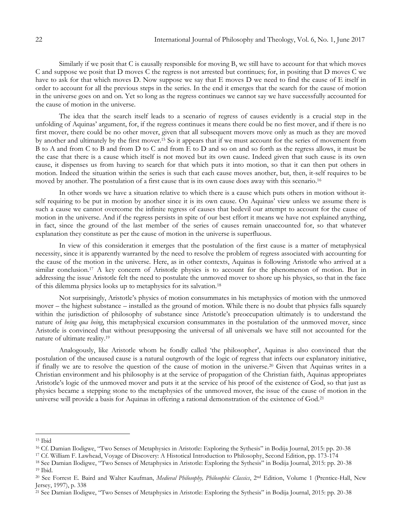Similarly if we posit that C is causally responsible for moving B, we still have to account for that which moves C and suppose we posit that D moves C the regress is not arrested but continues; for, in positing that D moves C we have to ask for that which moves D. Now suppose we say that E moves D we need to find the cause of E itself in order to account for all the previous steps in the series. In the end it emerges that the search for the cause of motion in the universe goes on and on. Yet so long as the regress continues we cannot say we have successfully accounted for the cause of motion in the universe.

The idea that the search itself leads to a scenario of regress of causes evidently is a crucial step in the unfolding of Aquinas" argument, for, if the regress continues it means there could be no first mover, and if there is no first mover, there could be no other mover, given that all subsequent movers move only as much as they are moved by another and ultimately by the first mover.<sup>15</sup> So it appears that if we must account for the series of movement from B to A and from C to B and from D to C and from E to D and so on and so forth as the regress allows, it must be the case that there is a cause which itself is not moved but its own cause. Indeed given that such cause is its own cause, it dispenses us from having to search for that which puts it into motion, so that it can then put others in motion. Indeed the situation within the series is such that each cause moves another, but, then, it-self requires to be moved by another. The postulation of a first cause that is its own cause does away with this scenario.<sup>16</sup>

In other words we have a situation relative to which there is a cause which puts others in motion without itself requiring to be put in motion by another since it is its own cause. On Aquinas' view unless we assume there is such a cause we cannot overcome the infinite regress of causes that bedevil our attempt to account for the cause of motion in the universe. And if the regress persists in spite of our best effort it means we have not explained anything, in fact, since the ground of the last member of the series of causes remain unaccounted for, so that whatever explanation they constitute as per the cause of motion in the universe is superfluous.

In view of this consideration it emerges that the postulation of the first cause is a matter of metaphysical necessity, since it is apparently warranted by the need to resolve the problem of regress associated with accounting for the cause of the motion in the universe. Here, as in other contexts, Aquinas is following Aristotle who arrived at a similar conclusion.<sup>17</sup> A key concern of Aristotle physics is to account for the phenomenon of motion. But in addressing the issue Aristotle felt the need to postulate the unmoved mover to shore up his physics, so that in the face of this dilemma physics looks up to metaphysics for its salvation.<sup>18</sup>

Not surprisingly, Aristotle"s physics of motion consummates in his metaphysics of motion with the unmoved mover – the highest substance – installed as the ground of motion. While there is no doubt that physics falls squarely within the jurisdiction of philosophy of substance since Aristotle's preoccupation ultimately is to understand the nature of *being qua being*, this metaphysical excursion consummates in the postulation of the unmoved mover, since Aristotle is convinced that without presupposing the universal of all universals we have still not accounted for the nature of ultimate reality.<sup>19</sup>

Analogously, like Aristotle whom he fondly called "the philosopher", Aquinas is also convinced that the postulation of the uncaused cause is a natural outgrowth of the logic of regress that infects our explanatory initiative, if finally we are to resolve the question of the cause of motion in the universe.<sup>20</sup> Given that Aquinas writes in a Christian environment and his philosophy is at the service of propagation of the Christian faith, Aquinas appropriates Aristotle"s logic of the unmoved mover and puts it at the service of his proof of the existence of God, so that just as physics became a stepping stone to the metaphysics of the unmoved mover, the issue of the cause of motion in the universe will provide a basis for Aquinas in offering a rational demonstration of the existence of God.<sup>21</sup>

<sup>15</sup> Ibid

<sup>16</sup> Cf. Damian Ilodigwe, "Two Senses of Metaphysics in Aristotle: Exploring the Sythesis" in Bodija Journal, 2015: pp. 20-38

<sup>17</sup> Cf. William F. Lawhead, Voyage of Discovery: A Histotical Introduction to Philosophy, Second Edition, pp. 173-174

<sup>18</sup> See Damian Ilodigwe, "Two Senses of Metaphysics in Aristotle: Exploring the Sythesis" in Bodija Journal, 2015: pp. 20-38 <sup>19</sup> Ibid.

<sup>&</sup>lt;sup>20</sup> See Forrest E. Baird and Walter Kaufman, *Medieval Philosophy, Philosophic Classics*, 2<sup>nd</sup> Edition, Volume 1 (Prentice-Hall, New Jersey, 1997), p. 338

<sup>21</sup> See Damian Ilodigwe, "Two Senses of Metaphysics in Aristotle: Exploring the Sythesis" in Bodija Journal, 2015: pp. 20-38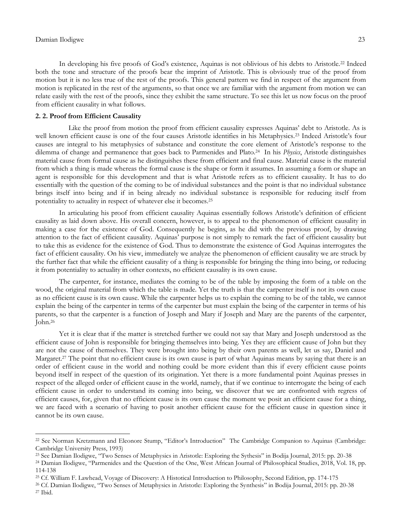$\overline{\phantom{a}}$ 

In developing his five proofs of God's existence, Aquinas is not oblivious of his debts to Aristotle.<sup>22</sup> Indeed both the tone and structure of the proofs bear the imprint of Aristotle. This is obviously true of the proof from motion but it is no less true of the rest of the proofs. This general pattern we find in respect of the argument from motion is replicated in the rest of the arguments, so that once we are familiar with the argument from motion we can relate easily with the rest of the proofs, since they exhibit the same structure. To see this let us now focus on the proof from efficient causality in what follows.

## **2. 2. Proof from Efficient Causality**

 Like the proof from motion the proof from efficient causality expresses Aquinas" debt to Aristotle. As is well known efficient cause is one of the four causes Aristotle identifies in his Metaphysics.<sup>23</sup> Indeed Aristotle's four causes are integral to his metaphysics of substance and constitute the core element of Aristotle"s response to the dilemma of change and permanence that goes back to Parmenides and Plato.<sup>24</sup> In his *Physics*, Aristotle distinguishes material cause from formal cause as he distinguishes these from efficient and final cause. Material cause is the material from which a thing is made whereas the formal cause is the shape or form it assumes. In assuming a form or shape an agent is responsible for this development and that is what Aristotle refers as to efficient causality. It has to do essentially with the question of the coming to be of individual substances and the point is that no individual substance brings itself into being and if in being already no individual substance is responsible for reducing itself from potentiality to actuality in respect of whatever else it becomes.<sup>25</sup>

In articulating his proof from efficient causality Aquinas essentially follows Aristotle"s definition of efficient causality as laid down above. His overall concern, however, is to appeal to the phenomenon of efficient causality in making a case for the existence of God. Consequently he begins, as he did with the previous proof, by drawing attention to the fact of efficient causality. Aquinas" purpose is not simply to remark the fact of efficient causality but to take this as evidence for the existence of God. Thus to demonstrate the existence of God Aquinas interrogates the fact of efficient causality. On his view, immediately we analyze the phenomenon of efficient causality we are struck by the further fact that while the efficient causality of a thing is responsible for bringing the thing into being, or reducing it from potentiality to actuality in other contexts, no efficient causality is its own cause.

The carpenter, for instance, mediates the coming to be of the table by imposing the form of a table on the wood, the original material from which the table is made. Yet the truth is that the carpenter itself is not its own cause as no efficient cause is its own cause. While the carpenter helps us to explain the coming to be of the table, we cannot explain the being of the carpenter in terms of the carpenter but must explain the being of the carpenter in terms of his parents, so that the carpenter is a function of Joseph and Mary if Joseph and Mary are the parents of the carpenter, John.<sup>26</sup>

Yet it is clear that if the matter is stretched further we could not say that Mary and Joseph understood as the efficient cause of John is responsible for bringing themselves into being. Yes they are efficient cause of John but they are not the cause of themselves. They were brought into being by their own parents as well, let us say, Daniel and Margaret.<sup>27</sup> The point that no efficient cause is its own cause is part of what Aquinas means by saying that there is an order of efficient cause in the world and nothing could be more evident than this if every efficient cause points beyond itself in respect of the question of its origination. Yet there is a more fundamental point Aquinas presses in respect of the alleged order of efficient cause in the world, namely, that if we continue to interrogate the being of each efficient cause in order to understand its coming into being, we discover that we are confronted with regress of efficient causes, for, given that no efficient cause is its own cause the moment we posit an efficient cause for a thing, we are faced with a scenario of having to posit another efficient cause for the efficient cause in question since it cannot be its own cause.

<sup>&</sup>lt;sup>22</sup> See Norman Kretzmann and Eleonore Stump, "Editor's Introduction" The Cambridge Companion to Aquinas (Cambridge: Cambridge University Press, 1993)

<sup>23</sup> See Damian Ilodigwe, "Two Senses of Metaphysics in Aristotle: Exploring the Sythesis" in Bodija Journal, 2015: pp. 20-38

<sup>24</sup> Damian Ilodigwe, "Parmenides and the Question of the One, West African Journal of Philosophical Studies, 2018, Vol. 18, pp. 114-138

<sup>25</sup> Cf. William F. Lawhead, Voyage of Discovery: A Histotical Introduction to Philosophy, Second Edition, pp. 174-175

<sup>26</sup> Cf. Damian Ilodigwe, "Two Senses of Metaphysics in Aristotle: Exploring the Synthesis" in Bodija Journal, 2015: pp. 20-38 <sup>27</sup> Ibid.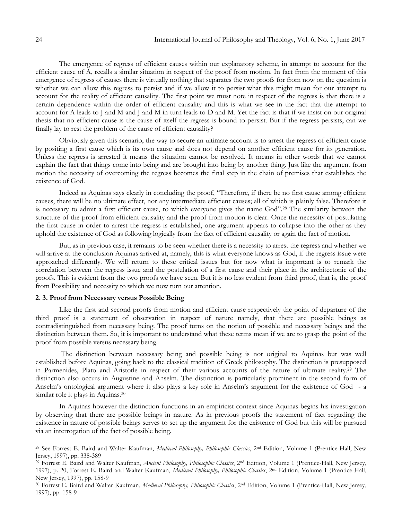The emergence of regress of efficient causes within our explanatory scheme, in attempt to account for the efficient cause of A, recalls a similar situation in respect of the proof from motion. In fact from the moment of this emergence of regress of causes there is virtually nothing that separates the two proofs for from now on the question is whether we can allow this regress to persist and if we allow it to persist what this might mean for our attempt to account for the reality of efficient causality. The first point we must note in respect of the regress is that there is a certain dependence within the order of efficient causality and this is what we see in the fact that the attempt to account for A leads to J and M and J and M in turn leads to D and M. Yet the fact is that if we insist on our original thesis that no efficient cause is the cause of itself the regress is bound to persist. But if the regress persists, can we finally lay to rest the problem of the cause of efficient causality?

Obviously given this scenario, the way to secure an ultimate account is to arrest the regress of efficient cause by positing a first cause which is its own cause and does not depend on another efficient cause for its generation. Unless the regress is arrested it means the situation cannot be resolved. It means in other words that we cannot explain the fact that things come into being and are brought into being by another thing. Just like the argument from motion the necessity of overcoming the regress becomes the final step in the chain of premises that establishes the existence of God.

Indeed as Aquinas says clearly in concluding the proof, "Therefore, if there be no first cause among efficient causes, there will be no ultimate effect, nor any intermediate efficient causes; all of which is plainly false. Therefore it is necessary to admit a first efficient cause, to which everyone gives the name God".<sup>28</sup> The similarity between the structure of the proof from efficient causality and the proof from motion is clear. Once the necessity of postulating the first cause in order to arrest the regress is established, one argument appears to collapse into the other as they uphold the existence of God as following logically from the fact of efficient causality or again the fact of motion.

But, as in previous case, it remains to be seen whether there is a necessity to arrest the regress and whether we will arrive at the conclusion Aquinas arrived at, namely, this is what everyone knows as God, if the regress issue were approached differently. We will return to these critical issues but for now what is important is to remark the correlation between the regress issue and the postulation of a first cause and their place in the architectonic of the proofs. This is evident from the two proofs we have seen. But it is no less evident from third proof, that is, the proof from Possibility and necessity to which we now turn our attention.

## **2. 3. Proof from Necessary versus Possible Being**

Like the first and second proofs from motion and efficient cause respectively the point of departure of the third proof is a statement of observation in respect of nature namely, that there are possible beings as contradistinguished from necessary being. The proof turns on the notion of possible and necessary beings and the distinction between them. So, it is important to understand what these terms mean if we are to grasp the point of the proof from possible versus necessary being.

The distinction between necessary being and possible being is not original to Aquinas but was well established before Aquinas, going back to the classical tradition of Greek philosophy. The distinction is presupposed in Parmenides, Plato and Aristotle in respect of their various accounts of the nature of ultimate reality.<sup>29</sup> The distinction also occurs in Augustine and Anselm. The distinction is particularly prominent in the second form of Anselm"s ontological argument where it also plays a key role in Anselm"s argument for the existence of God - a similar role it plays in Aquinas.<sup>30</sup>

In Aquinas however the distinction functions in an empiricist context since Aquinas begins his investigation by observing that there are possible beings in nature. As in previous proofs the statement of fact regarding the existence in nature of possible beings serves to set up the argument for the existence of God but this will be pursued via an interrogation of the fact of possible being.

<sup>28</sup> See Forrest E. Baird and Walter Kaufman, *Medieval Philosophy, Philosophic Classics*, 2nd Edition, Volume 1 (Prentice-Hall, New Jersey, 1997), pp. 338-389

<sup>29</sup> Forrest E. Baird and Walter Kaufman, *Ancient Philosophy, Philosophic Classics*, 2nd Edition, Volume 1 (Prentice-Hall, New Jersey, 1997), p. 20; Forrest E. Baird and Walter Kaufman, *Medieval Philosophy, Philosophic Classics*, 2nd Edition, Volume 1 (Prentice-Hall, New Jersey, 1997), pp. 158-9

<sup>30</sup> Forrest E. Baird and Walter Kaufman, *Medieval Philosophy, Philosophic Classics*, 2nd Edition, Volume 1 (Prentice-Hall, New Jersey, 1997), pp. 158-9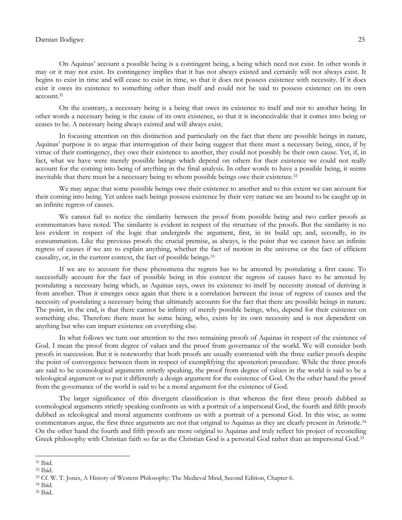On Aquinas" account a possible being is a contingent being, a being which need not exist. In other words it may or it may not exist. Its contingency implies that it has not always existed and certainly will not always exist. It begins to exist in time and will cease to exist in time, so that it does not possess existence with necessity. If it does exist it owes its existence to something other than itself and could not be said to possess existence on its own account.<sup>31</sup>

On the contrary, a necessary being is a being that owes its existence to itself and not to another being. In other words a necessary being is the cause of its own existence, so that it is inconceivable that it comes into being or ceases to be. A necessary being always existed and will always exist.

In focusing attention on this distinction and particularly on the fact that there are possible beings in nature, Aquinas" purpose is to argue that interrogation of their being suggest that there must a necessary being, since, if by virtue of their contingency, they owe their existence to another, they could not possibly be their own cause. Yet, if, in fact, what we have were merely possible beings which depend on others for their existence we could not really account for the coming into being of anything in the final analysis. In other words to have a possible being, it seems inevitable that there must be a necessary being to whom possible beings owe their existence.<sup>32</sup>

We may argue that some possible beings owe their existence to another and to this extent we can account for their coming into being. Yet unless such beings possess existence by their very nature we are bound to be caught up in an infinite regress of causes.

We cannot fail to notice the similarity between the proof from possible being and two earlier proofs as commentators have noted. The similarity is evident in respect of the structure of the proofs. But the similarity is no less evident in respect of the logic that undergirds the argument, first, in its build up; and, secondly, in its consummation. Like the previous proofs the crucial premise, as always, is the point that we cannot have an infinite regress of causes if we are to explain anything, whether the fact of motion in the universe or the fact of efficient causality, or, in the current context, the fact of possible beings.<sup>33</sup>

If we are to account for these phenomena the regress has to be arrested by postulating a first cause. To successfully account for the fact of possible being in this context the regress of causes have to be arrested by postulating a necessary being which, as Aquinas says, owes its existence to itself by necessity instead of deriving it from another. Thus it emerges once again that there is a correlation between the issue of regress of causes and the necessity of postulating a necessary being that ultimately accounts for the fact that there are possible beings in nature. The point, in the end, is that there cannot be infinity of merely possible beings, who, depend for their existence on something else. Therefore there must be some being, who, exists by its own necessity and is not dependent on anything but who can impart existence on everything else.

In what follows we turn our attention to the two remaining proofs of Aquinas in respect of the existence of God. I mean the proof from degree of values and the proof from governance of the world. We will consider both proofs in succession. But it is noteworthy that both proofs are usually contrasted with the three earlier proofs despite the point of convergence between them in respect of exemplifying the aposteriori procedure. While the three proofs are said to be cosmological arguments strictly speaking, the proof from degree of values in the world is said to be a teleological argument or to put it differently a design argument for the existence of God. On the other hand the proof from the governance of the world is said to be a moral argument for the existence of God.

The larger significance of this divergent classification is that whereas the first three proofs dubbed as cosmological arguments strictly speaking confronts us with a portrait of a impersonal God, the fourth and fifth proofs dubbed as teleological and moral arguments confronts us with a portrait of a personal God. In this wise, as some commentators argue, the first three arguments are not that original to Aquinas as they are clearly present in Aristotle.<sup>34</sup> On the other hand the fourth and fifth proofs are more original to Aquinas and truly reflect his project of reconciling Greek philosophy with Christian faith so far as the Christian God is a personal God rather than an impersonal God.<sup>35</sup>

<sup>31</sup> Ibid.

<sup>32</sup> Ibid.

<sup>33</sup> Cf. W. T. Jones, A History of Western Philosophy: The Medieval Mind, Second Edition, Chapter 6.

<sup>34</sup> Ibid.

<sup>35</sup> Ibid.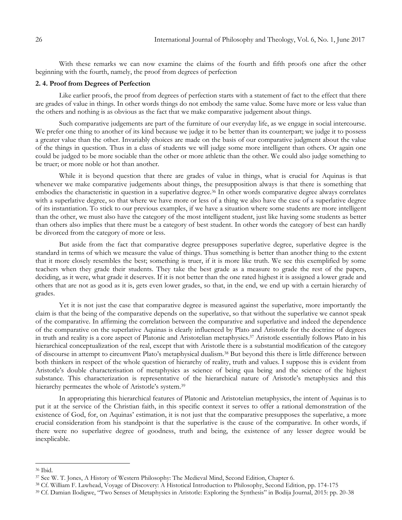With these remarks we can now examine the claims of the fourth and fifth proofs one after the other beginning with the fourth, namely, the proof from degrees of perfection

## **2. 4. Proof from Degrees of Perfection**

Like earlier proofs, the proof from degrees of perfection starts with a statement of fact to the effect that there are grades of value in things. In other words things do not embody the same value. Some have more or less value than the others and nothing is as obvious as the fact that we make comparative judgement about things.

Such comparative judgements are part of the furniture of our everyday life, as we engage in social intercourse. We prefer one thing to another of its kind because we judge it to be better than its counterpart; we judge it to possess a greater value than the other. Invariably choices are made on the basis of our comparative judgment about the value of the things in question. Thus in a class of students we will judge some more intelligent than others. Or again one could be judged to be more sociable than the other or more athletic than the other. We could also judge something to be truer; or more noble or hot than another.

While it is beyond question that there are grades of value in things, what is crucial for Aquinas is that whenever we make comparative judgements about things, the presupposition always is that there is something that embodies the characteristic in question in a superlative degree.<sup>36</sup> In other words comparative degree always correlates with a superlative degree, so that where we have more or less of a thing we also have the case of a superlative degree of its instantiation. To stick to our previous examples, if we have a situation where some students are more intelligent than the other, we must also have the category of the most intelligent student, just like having some students as better than others also implies that there must be a category of best student. In other words the category of best can hardly be divorced from the category of more or less.

But aside from the fact that comparative degree presupposes superlative degree, superlative degree is the standard in terms of which we measure the value of things. Thus something is better than another thing to the extent that it more closely resembles the best; something is truer, if it is more like truth. We see this exemplified by some teachers when they grade their students. They take the best grade as a measure to grade the rest of the papers, deciding, as it were, what grade it deserves. If it is not better than the one rated highest it is assigned a lower grade and others that are not as good as it is, gets even lower grades, so that, in the end, we end up with a certain hierarchy of grades.

Yet it is not just the case that comparative degree is measured against the superlative, more importantly the claim is that the being of the comparative depends on the superlative, so that without the superlative we cannot speak of the comparative. In affirming the correlation between the comparative and superlative and indeed the dependence of the comparative on the superlative Aquinas is clearly influenced by Plato and Aristotle for the doctrine of degrees in truth and reality is a core aspect of Platonic and Aristotelian metaphysics.<sup>37</sup> Aristotle essentially follows Plato in his hierarchical conceptualization of the real, except that with Aristotle there is a substantial modification of the category of discourse in attempt to circumvent Plato"s metaphysical dualism.<sup>38</sup> But beyond this there is little difference between both thinkers in respect of the whole question of hierarchy of reality, truth and values. I suppose this is evident from Aristotle"s double characterisation of metaphysics as science of being qua being and the science of the highest substance. This characterization is representative of the hierarchical nature of Aristotle"s metaphysics and this hierarchy permeates the whole of Aristotle's system.<sup>39</sup>

In appropriating this hierarchical features of Platonic and Aristotelian metaphysics, the intent of Aquinas is to put it at the service of the Christian faith, in this specific context it serves to offer a rational demonstration of the existence of God, for, on Aquinas' estimation, it is not just that the comparative presupposes the superlative, a more crucial consideration from his standpoint is that the superlative is the cause of the comparative. In other words, if there were no superlative degree of goodness, truth and being, the existence of any lesser degree would be inexplicable.

<sup>36</sup> Ibid.

<sup>37</sup> See W. T. Jones, A History of Western Philosophy: The Medieval Mind, Second Edition, Chapter 6.

<sup>38</sup> Cf. William F. Lawhead, Voyage of Discovery: A Histotical Introduction to Philosophy, Second Edition, pp. 174-175

<sup>39</sup> Cf. Damian Ilodigwe, "Two Senses of Metaphysics in Aristotle: Exploring the Synthesis" in Bodija Journal, 2015: pp. 20-38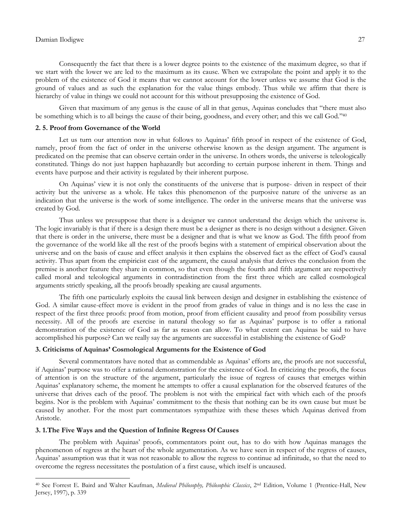Consequently the fact that there is a lower degree points to the existence of the maximum degree, so that if we start with the lower we are led to the maximum as its cause. When we extrapolate the point and apply it to the problem of the existence of God it means that we cannot account for the lower unless we assume that God is the ground of values and as such the explanation for the value things embody. Thus while we affirm that there is hierarchy of value in things we could not account for this without presupposing the existence of God.

Given that maximum of any genus is the cause of all in that genus, Aquinas concludes that "there must also be something which is to all beings the cause of their being, goodness, and every other; and this we call God."<sup>40</sup>

## **2. 5. Proof from Governance of the World**

Let us turn our attention now in what follows to Aquinas' fifth proof in respect of the existence of God, namely, proof from the fact of order in the universe otherwise known as the design argument. The argument is predicated on the premise that can observe certain order in the universe. In others words, the universe is teleologically constituted. Things do not just happen haphazardly but according to certain purpose inherent in them. Things and events have purpose and their activity is regulated by their inherent purpose.

On Aquinas" view it is not only the constituents of the universe that is purpose- driven in respect of their activity but the universe as a whole. He takes this phenomenon of the purposive nature of the universe as an indication that the universe is the work of some intelligence. The order in the universe means that the universe was created by God.

Thus unless we presuppose that there is a designer we cannot understand the design which the universe is. The logic invariably is that if there is a design there must be a designer as there is no design without a designer. Given that there is order in the universe, there must be a designer and that is what we know as God. The fifth proof from the governance of the world like all the rest of the proofs begins with a statement of empirical observation about the universe and on the basis of cause and effect analysis it then explains the observed fact as the effect of God's causal activity. Thus apart from the empiricist cast of the argument, the causal analysis that derives the conclusion from the premise is another feature they share in common, so that even though the fourth and fifth argument are respectively called moral and teleological arguments in contradistinction from the first three which are called cosmological arguments strictly speaking, all the proofs broadly speaking are causal arguments.

The fifth one particularly exploits the causal link between design and designer in establishing the existence of God. A similar cause-effect move is evident in the proof from grades of value in things and is no less the case in respect of the first three proofs: proof from motion, proof from efficient causality and proof from possibility versus necessity. All of the proofs are exercise in natural theology so far as Aquinas" purpose is to offer a rational demonstration of the existence of God as far as reason can allow. To what extent can Aquinas be said to have accomplished his purpose? Can we really say the arguments are successful in establishing the existence of God?

#### **3. Criticisms of Aquinas' Cosmological Arguments for the Existence of God**

Several commentators have noted that as commendable as Aquinas" efforts are, the proofs are not successful, if Aquinas" purpose was to offer a rational demonstration for the existence of God. In criticizing the proofs, the focus of attention is on the structure of the argument, particularly the issue of regress of causes that emerges within Aquinas" explanatory scheme, the moment he attempts to offer a causal explanation for the observed features of the universe that drives each of the proof. The problem is not with the empirical fact with which each of the proofs begins. Nor is the problem with Aquinas" commitment to the thesis that nothing can be its own cause but must be caused by another. For the most part commentators sympathize with these theses which Aquinas derived from Aristotle.

## **3. 1.The Five Ways and the Question of Infinite Regress Of Causes**

 $\overline{\phantom{a}}$ 

The problem with Aquinas" proofs, commentators point out, has to do with how Aquinas manages the phenomenon of regress at the heart of the whole argumentation. As we have seen in respect of the regress of causes, Aquinas" assumption was that it was not reasonable to allow the regress to continue ad infinitude, so that the need to overcome the regress necessitates the postulation of a first cause, which itself is uncaused.

<sup>40</sup> See Forrest E. Baird and Walter Kaufman, *Medieval Philosophy, Philosophic Classics*, 2nd Edition, Volume 1 (Prentice-Hall, New Jersey, 1997), p. 339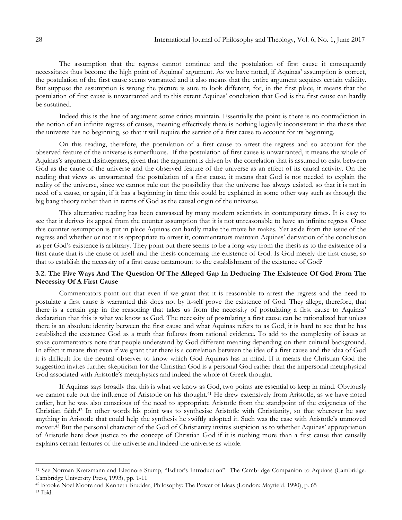The assumption that the regress cannot continue and the postulation of first cause it consequently necessitates thus become the high point of Aquinas" argument. As we have noted, if Aquinas" assumption is correct, the postulation of the first cause seems warranted and it also means that the entire argument acquires certain validity. But suppose the assumption is wrong the picture is sure to look different, for, in the first place, it means that the postulation of first cause is unwarranted and to this extent Aquinas" conclusion that God is the first cause can hardly be sustained.

Indeed this is the line of argument some critics maintain. Essentially the point is there is no contradiction in the notion of an infinite regress of causes, meaning effectively there is nothing logically inconsistent in the thesis that the universe has no beginning, so that it will require the service of a first cause to account for its beginning.

On this reading, therefore, the postulation of a first cause to arrest the regress and so account for the observed feature of the universe is superfluous. If the postulation of first cause is unwarranted, it means the whole of Aquinas's argument disintegrates, given that the argument is driven by the correlation that is assumed to exist between God as the cause of the universe and the observed feature of the universe as an effect of its causal activity. On the reading that views as unwarranted the postulation of a first cause, it means that God is not needed to explain the reality of the universe, since we cannot rule out the possibility that the universe has always existed, so that it is not in need of a cause, or again, if it has a beginning in time this could be explained in some other way such as through the big bang theory rather than in terms of God as the causal origin of the universe.

This alternative reading has been canvassed by many modern scientists in contemporary times. It is easy to see that it derives its appeal from the counter assumption that it is not unreasonable to have an infinite regress. Once this counter assumption is put in place Aquinas can hardly make the move he makes. Yet aside from the issue of the regress and whether or not it is appropriate to arrest it, commentators maintain Aquinas" derivation of the conclusion as per God"s existence is arbitrary. They point out there seems to be a long way from the thesis as to the existence of a first cause that is the cause of itself and the thesis concerning the existence of God. Is God merely the first cause, so that to establish the necessity of a first cause tantamount to the establishment of the existence of God?

## **3.2. The Five Ways And The Question Of The Alleged Gap In Deducing The Existence Of God From The Necessity Of A First Cause**

Commentators point out that even if we grant that it is reasonable to arrest the regress and the need to postulate a first cause is warranted this does not by it-self prove the existence of God. They allege, therefore, that there is a certain gap in the reasoning that takes us from the necessity of postulating a first cause to Aquinas" declaration that this is what we know as God. The necessity of postulating a first cause can be rationalized but unless there is an absolute identity between the first cause and what Aquinas refers to as God, it is hard to see that he has established the existence God as a truth that follows from rational evidence. To add to the complexity of issues at stake commentators note that people understand by God different meaning depending on their cultural background. In effect it means that even if we grant that there is a correlation between the idea of a first cause and the idea of God it is difficult for the neutral observer to know which God Aquinas has in mind. If it means the Christian God the suggestion invites further skepticism for the Christian God is a personal God rather than the impersonal metaphysical God associated with Aristotle's metaphysics and indeed the whole of Greek thought.

If Aquinas says broadly that this is what we know as God, two points are essential to keep in mind. Obviously we cannot rule out the influence of Aristotle on his thought.<sup>41</sup> He drew extensively from Aristotle, as we have noted earlier, but he was also conscious of the need to appropriate Aristotle from the standpoint of the exigencies of the Christian faith.<sup>42</sup> In other words his point was to synthesise Aristotle with Christianity, so that wherever he saw anything in Aristotle that could help the synthesis he swiftly adopted it. Such was the case with Aristotle"s unmoved mover.<sup>43</sup> But the personal character of the God of Christianity invites suspicion as to whether Aquinas" appropriation of Aristotle here does justice to the concept of Christian God if it is nothing more than a first cause that causally explains certain features of the universe and indeed the universe as whole.

<sup>41</sup> See Norman Kretzmann and Eleonore Stump, "Editor"s Introduction" The Cambridge Companion to Aquinas (Cambridge: Cambridge University Press, 1993), pp. 1-11

<sup>42</sup> Brooke Noel Moore and Kenneth Brudder, Philosophy: The Power of Ideas (London: Mayfield, 1990), p. 65

<sup>43</sup> Ibid.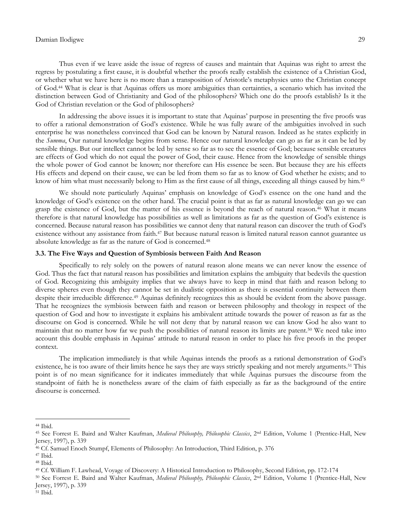Thus even if we leave aside the issue of regress of causes and maintain that Aquinas was right to arrest the regress by postulating a first cause, it is doubtful whether the proofs really establish the existence of a Christian God, or whether what we have here is no more than a transposition of Aristotle"s metaphysics unto the Christian concept of God.<sup>44</sup> What is clear is that Aquinas offers us more ambiguities than certainties, a scenario which has invited the distinction between God of Christianity and God of the philosophers? Which one do the proofs establish? Is it the God of Christian revelation or the God of philosophers?

In addressing the above issues it is important to state that Aquinas" purpose in presenting the five proofs was to offer a rational demonstration of God's existence. While he was fully aware of the ambiguities involved in such enterprise he was nonetheless convinced that God can be known by Natural reason. Indeed as he states explicitly in the *Summa*, Our natural knowledge begins from sense. Hence our natural knowledge can go as far as it can be led by sensible things. But our intellect cannot be led by sense so far as to see the essence of God; because sensible creatures are effects of God which do not equal the power of God, their cause. Hence from the knowledge of sensible things the whole power of God cannot be known; nor therefore can His essence be seen. But because they are his effects His effects and depend on their cause, we can be led from them so far as to know of God whether he exists; and to know of him what must necessarily belong to Him as the first cause of all things, exceeding all things caused by him.<sup>45</sup>

We should note particularly Aquinas' emphasis on knowledge of God's essence on the one hand and the knowledge of God"s existence on the other hand. The crucial point is that as far as natural knowledge can go we can grasp the existence of God, but the matter of his essence is beyond the reach of natural reason.<sup>46</sup> What it means therefore is that natural knowledge has possibilities as well as limitations as far as the question of God"s existence is concerned. Because natural reason has possibilities we cannot deny that natural reason can discover the truth of God"s existence without any assistance from faith.<sup>47</sup> But because natural reason is limited natural reason cannot guarantee us absolute knowledge as far as the nature of God is concerned.<sup>48</sup>

## **3.3. The Five Ways and Question of Symbiosis between Faith And Reason**

Specifically to rely solely on the powers of natural reason alone means we can never know the essence of God. Thus the fact that natural reason has possibilities and limitation explains the ambiguity that bedevils the question of God. Recognizing this ambiguity implies that we always have to keep in mind that faith and reason belong to diverse spheres even though they cannot be set in dualistic opposition as there is essential continuity between them despite their irreducible difference.<sup>49</sup> Aquinas definitely recognizes this as should be evident from the above passage. That he recognizes the symbiosis between faith and reason or between philosophy and theology in respect of the question of God and how to investigate it explains his ambivalent attitude towards the power of reason as far as the discourse on God is concerned. While he will not deny that by natural reason we can know God he also want to maintain that no matter how far we push the possibilities of natural reason its limits are patent.<sup>50</sup> We need take into account this double emphasis in Aquinas" attitude to natural reason in order to place his five proofs in the proper context.

The implication immediately is that while Aquinas intends the proofs as a rational demonstration of God"s existence, he is too aware of their limits hence he says they are ways strictly speaking and not merely arguments.<sup>51</sup> This point is of no mean significance for it indicates immediately that while Aquinas pursues the discourse from the standpoint of faith he is nonetheless aware of the claim of faith especially as far as the background of the entire discourse is concerned.

<sup>44</sup> Ibid.

<sup>45</sup> See Forrest E. Baird and Walter Kaufman, *Medieval Philosophy, Philosophic Classics*, 2nd Edition, Volume 1 (Prentice-Hall, New Jersey, 1997), p. 339

<sup>46</sup> Cf. Samuel Enoch Stumpf, Elements of Philosophy: An Introduction, Third Edition, p. 376

<sup>47</sup> Ibid.

<sup>48</sup> Ibid.

<sup>49</sup> Cf. William F. Lawhead, Voyage of Discovery: A Histotical Introduction to Philosophy, Second Edition, pp. 172-174

<sup>50</sup> See Forrest E. Baird and Walter Kaufman, *Medieval Philosophy, Philosophic Classics*, 2nd Edition, Volume 1 (Prentice-Hall, New Jersey, 1997), p. 339

<sup>51</sup> Ibid.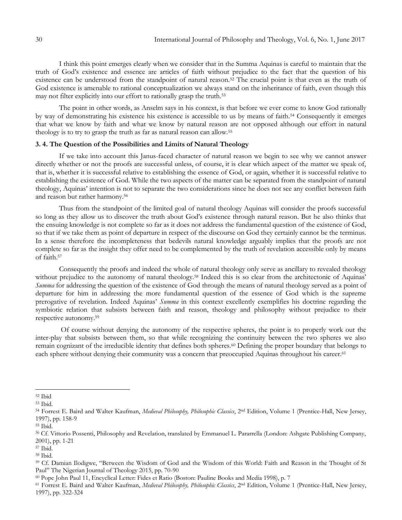I think this point emerges clearly when we consider that in the Summa Aquinas is careful to maintain that the truth of God"s existence and essence are articles of faith without prejudice to the fact that the question of his existence can be understood from the standpoint of natural reason.<sup>52</sup> The crucial point is that even as the truth of God existence is amenable to rational conceptualization we always stand on the inheritance of faith, even though this may not filter explicitly into our effort to rationally grasp the truth.<sup>53</sup>

The point in other words, as Anselm says in his context, is that before we ever come to know God rationally by way of demonstrating his existence his existence is accessible to us by means of faith.<sup>54</sup> Consequently it emerges that what we know by faith and what we know by natural reason are not opposed although our effort in natural theology is to try to grasp the truth as far as natural reason can allow.<sup>55</sup>

## **3. 4. The Question of the Possibilities and Limits of Natural Theology**

If we take into account this Janus-faced character of natural reason we begin to see why we cannot answer directly whether or not the proofs are successful unless, of course, it is clear which aspect of the matter we speak of, that is, whether it is successful relative to establishing the essence of God, or again, whether it is successful relative to establishing the existence of God. While the two aspects of the matter can be separated from the standpoint of natural theology, Aquinas" intention is not to separate the two considerations since he does not see any conflict between faith and reason but rather harmony.<sup>56</sup>

Thus from the standpoint of the limited goal of natural theology Aquinas will consider the proofs successful so long as they allow us to discover the truth about God"s existence through natural reason. But he also thinks that the ensuing knowledge is not complete so far as it does not address the fundamental question of the existence of God, so that if we take them as point of departure in respect of the discourse on God they certainly cannot be the terminus. In a sense therefore the incompleteness that bedevils natural knowledge arguably implies that the proofs are not complete so far as the insight they offer need to be complemented by the truth of revelation accessible only by means of faith.<sup>57</sup>

Consequently the proofs and indeed the whole of natural theology only serve as ancillary to revealed theology without prejudice to the autonomy of natural theology.<sup>58</sup> Indeed this is so clear from the architectonic of Aquinas' *Summa* for addressing the question of the existence of God through the means of natural theology served as a point of departure for him in addressing the more fundamental question of the essence of God which is the supreme prerogative of revelation. Indeed Aquinas' *Summa* in this context excellently exemplifies his doctrine regarding the symbiotic relation that subsists between faith and reason, theology and philosophy without prejudice to their respective autonomy.<sup>59</sup>

Of course without denying the autonomy of the respective spheres, the point is to properly work out the inter-play that subsists between them, so that while recognizing the continuity between the two spheres we also remain cognizant of the irreducible identity that defines both spheres.<sup>60</sup> Defining the proper boundary that belongs to each sphere without denying their community was a concern that preoccupied Aquinas throughout his career.<sup>61</sup>

<sup>52</sup> Ibid

<sup>53</sup> Ibid.

<sup>54</sup> Forrest E. Baird and Walter Kaufman, *Medieval Philosophy, Philosophic Classics*, 2nd Edition, Volume 1 (Prentice-Hall, New Jersey, 1997), pp. 158-9

<sup>55</sup> Ibid.

<sup>56</sup> Cf. Vittorio Possenti, Philosophy and Revelation, translated by Emmanuel L. Pararrella (London: Ashgate Publishing Company, 2001), pp. 1-21

<sup>57</sup> Ibid.

<sup>58</sup> Ibid.

<sup>59</sup> Cf. Damian Ilodigwe, "Between the Wisdom of God and the Wisdom of this World: Faith and Reason in the Thought of St Paul" The Nigerian Journal of Theology 2015, pp. 70-90

<sup>60</sup> Pope John Paul 11, Encyclical Letter: Fides et Ratio (Boston: Pauline Books and Media 1998), p. 7

<sup>&</sup>lt;sup>61</sup> Forrest E. Baird and Walter Kaufman, *Medieval Philosophy, Philosophic Classics*, 2<sup>nd</sup> Edition, Volume 1 (Prentice-Hall, New Jersey, 1997), pp. 322-324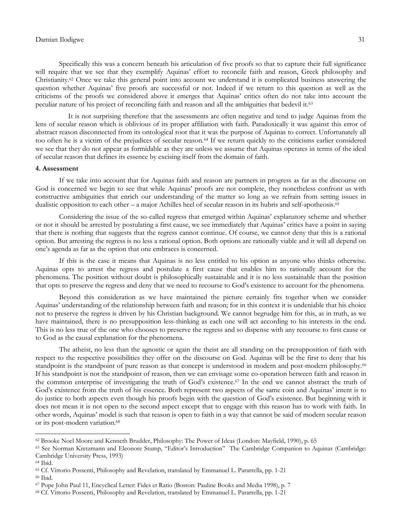Specifically this was a concern beneath his articulation of five proofs so that to capture their full significance will require that we see that they exemplify Aquinas' effort to reconcile faith and reason, Greek philosophy and Christianity.<sup>62</sup> Once we take this general point into account we understand it is complicated business answering the question whether Aquinas" five proofs are successful or not. Indeed if we return to this question as well as the criticisms of the proofs we considered above it emerges that Aquinas" critics often do not take into account the peculiar nature of his project of reconciling faith and reason and all the ambiguities that bedevil it.<sup>63</sup>

 It is not surprising therefore that the assessments are often negative and tend to judge Aquinas from the lens of secular reason which is oblivious of its proper affiliation with faith. Paradoxically it was against this error of abstract reason disconnected from its ontological root that it was the purpose of Aquinas to correct. Unfortunately all too often he is a victim of the prejudices of secular reason.<sup>64</sup> If we return quickly to the criticisms earlier considered we see that they do not appear as formidable as they are unless we assume that Aquinas operates in terms of the ideal of secular reason that defines its essence by excising itself from the domain of faith.

#### **4. Assessment**

If we take into account that for Aquinas faith and reason are partners in progress as far as the discourse on God is concerned we begin to see that while Aquinas" proofs are not complete, they nonetheless confront us with constructive ambiguities that enrich our understanding of the matter so long as we refrain from setting issues in dualistic opposition to each other – a major Achilles heel of secular reason in its hubris and self-apotheosis.<sup>65</sup>

Considering the issue of the so-called regress that emerged within Aquinas" explanatory scheme and whether or not it should be arrested by postulating a first cause, we see immediately that Aquinas" critics have a point in saying that there is nothing that suggests that the regress cannot continue. Of course, we cannot deny that this is a rational option. But arresting the regress is no less a rational option. Both options are rationally viable and it will all depend on one"s agenda as far as the option that one embraces is concerned.

If this is the case it means that Aquinas is no less entitled to his option as anyone who thinks otherwise. Aquinas opts to arrest the regress and postulate a first cause that enables him to rationally account for the phenomena. The position without doubt is philosophically sustainable and it is no less sustainable than the position that opts to preserve the regress and deny that we need to recourse to God"s existence to account for the phenomena.

Beyond this consideration as we have maintained the picture certainly fits together when we consider Aquinas" understanding of the relationship between faith and reason; for in this context it is undeniable that his choice not to preserve the regress is driven by his Christian background. We cannot begrudge him for this, as in truth, as we have maintained, there is no presupposition less-thinking as each one will act according to his interests in the end. This is no less true of the one who chooses to preserve the regress and so dispense with any recourse to first cause or to God as the causal explanation for the phenomena.

The atheist, no less than the agnostic or again the theist are all standing on the presupposition of faith with respect to the respective possibilities they offer on the discourse on God. Aquinas will be the first to deny that his standpoint is the standpoint of pure reason as that concept is understood in modern and post-modern philosophy.<sup>66</sup> If his standpoint is not the standpoint of reason, then we can envisage some co-operation between faith and reason in the common enterprise of investigating the truth of God"s existence.<sup>67</sup> In the end we cannot abstract the truth of God's existence from the truth of his essence. Both represent two aspects of the same coin and Aquinas' intent is to do justice to both aspects even though his proofs begin with the question of God"s existence. But beginning with it does not mean it is not open to the second aspect except that to engage with this reason has to work with faith. In other words, Aquinas" model is such that reason is open to faith in a way that cannot be said of modern secular reason or its post-modern variation.<sup>68</sup>

 $\overline{a}$ 

<sup>66</sup> Ibid.

<sup>62</sup> Brooke Noel Moore and Kenneth Brudder, Philosophy: The Power of Ideas (London: Mayfield, 1990), p. 65

<sup>63</sup> See Norman Kretzmann and Eleonore Stump, "Editor"s Introduction" The Cambridge Companion to Aquinas (Cambridge: Cambridge University Press, 1993)

<sup>64</sup> Ibid.

<sup>65</sup> Cf. Vittorio Possenti, Philosophy and Revelation, translated by Emmanuel L. Pararrella, pp. 1-21

<sup>67</sup> Pope John Paul 11, Encyclical Letter: Fides et Ratio (Boston: Pauline Books and Media 1998), p. 7

<sup>68</sup> Cf. Vittorio Possenti, Philosophy and Revelation, translated by Emmanuel L. Pararrella, pp. 1-21